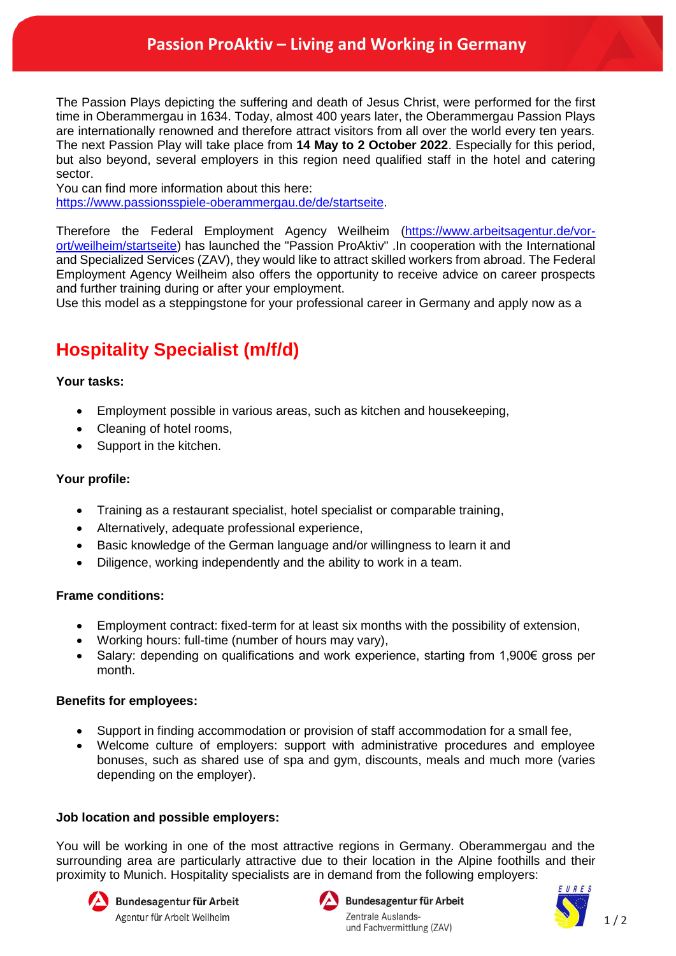The Passion Plays depicting the suffering and death of Jesus Christ, were performed for the first time in Oberammergau in 1634. Today, almost 400 years later, the Oberammergau Passion Plays are internationally renowned and therefore attract visitors from all over the world every ten years. The next Passion Play will take place from **14 May to 2 October 2022**. Especially for this period, but also beyond, several employers in this region need qualified staff in the hotel and catering sector.

You can find more information about this here:

[https://www.passionsspiele-oberammergau.de/de/startseite.](https://www.passionsspiele-oberammergau.de/de/startseite)

Therefore the Federal Employment Agency Weilheim [\(https://www.arbeitsagentur.de/vor](https://www.arbeitsagentur.de/vor-ort/weilheim/startseite)[ort/weilheim/startseite\)](https://www.arbeitsagentur.de/vor-ort/weilheim/startseite) has launched the "Passion ProAktiv" .In cooperation with the International and Specialized Services (ZAV), they would like to attract skilled workers from abroad. The Federal Employment Agency Weilheim also offers the opportunity to receive advice on career prospects and further training during or after your employment.

Use this model as a steppingstone for your professional career in Germany and apply now as a

# **Hospitality Specialist (m/f/d)**

### **Your tasks:**

- Employment possible in various areas, such as kitchen and housekeeping,
- Cleaning of hotel rooms,
- Support in the kitchen.

#### **Your profile:**

- Training as a restaurant specialist, hotel specialist or comparable training,
- Alternatively, adequate professional experience,
- Basic knowledge of the German language and/or willingness to learn it and
- Diligence, working independently and the ability to work in a team.

#### **Frame conditions:**

- Employment contract: fixed-term for at least six months with the possibility of extension,
- Working hours: full-time (number of hours may vary),
- Salary: depending on qualifications and work experience, starting from 1,900€ gross per month.

#### **Benefits for employees:**

- Support in finding accommodation or provision of staff accommodation for a small fee,
- Welcome culture of employers: support with administrative procedures and employee bonuses, such as shared use of spa and gym, discounts, meals and much more (varies depending on the employer).

## **Job location and possible employers:**

You will be working in one of the most attractive regions in Germany. Oberammergau and the surrounding area are particularly attractive due to their location in the Alpine foothills and their proximity to Munich. Hospitality specialists are in demand from the following employers:





Bundesagentur für Arbeit Zentrale Auslandsund Fachvermittlung (ZAV)